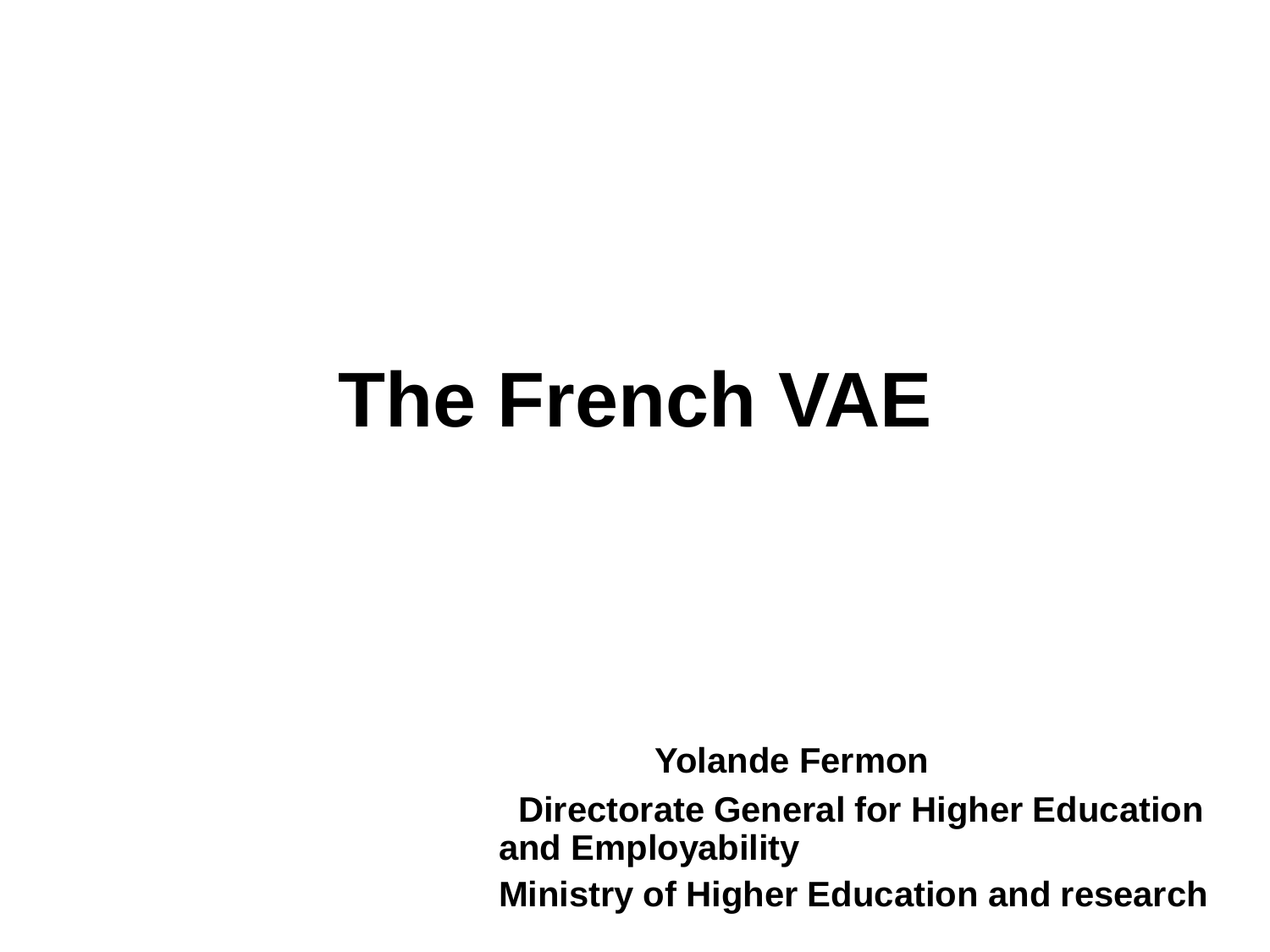## **The French VAE**

**Yolande Fermon** 

**Directorate General for Higher Education and Employability**

**Ministry of Higher Education and research**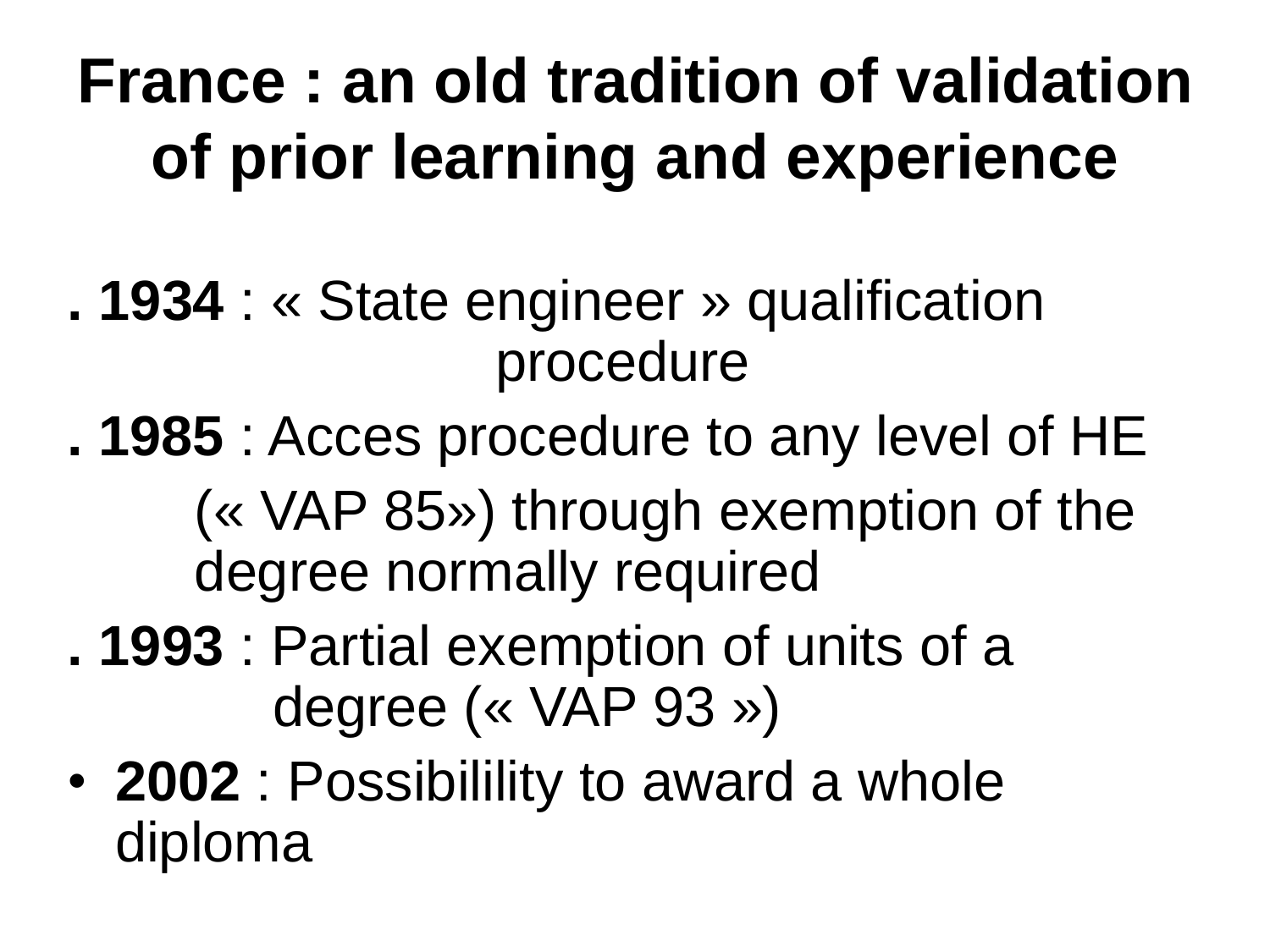### **France : an old tradition of validation of prior learning and experience**

- **. 1934** : « State engineer » qualification procedure
- **. 1985** : Acces procedure to any level of HE (« VAP 85») through exemption of the degree normally required
- **. 1993** : Partial exemption of units of a degree (« VAP 93 »)
- **2002** : Possibilility to award a whole diploma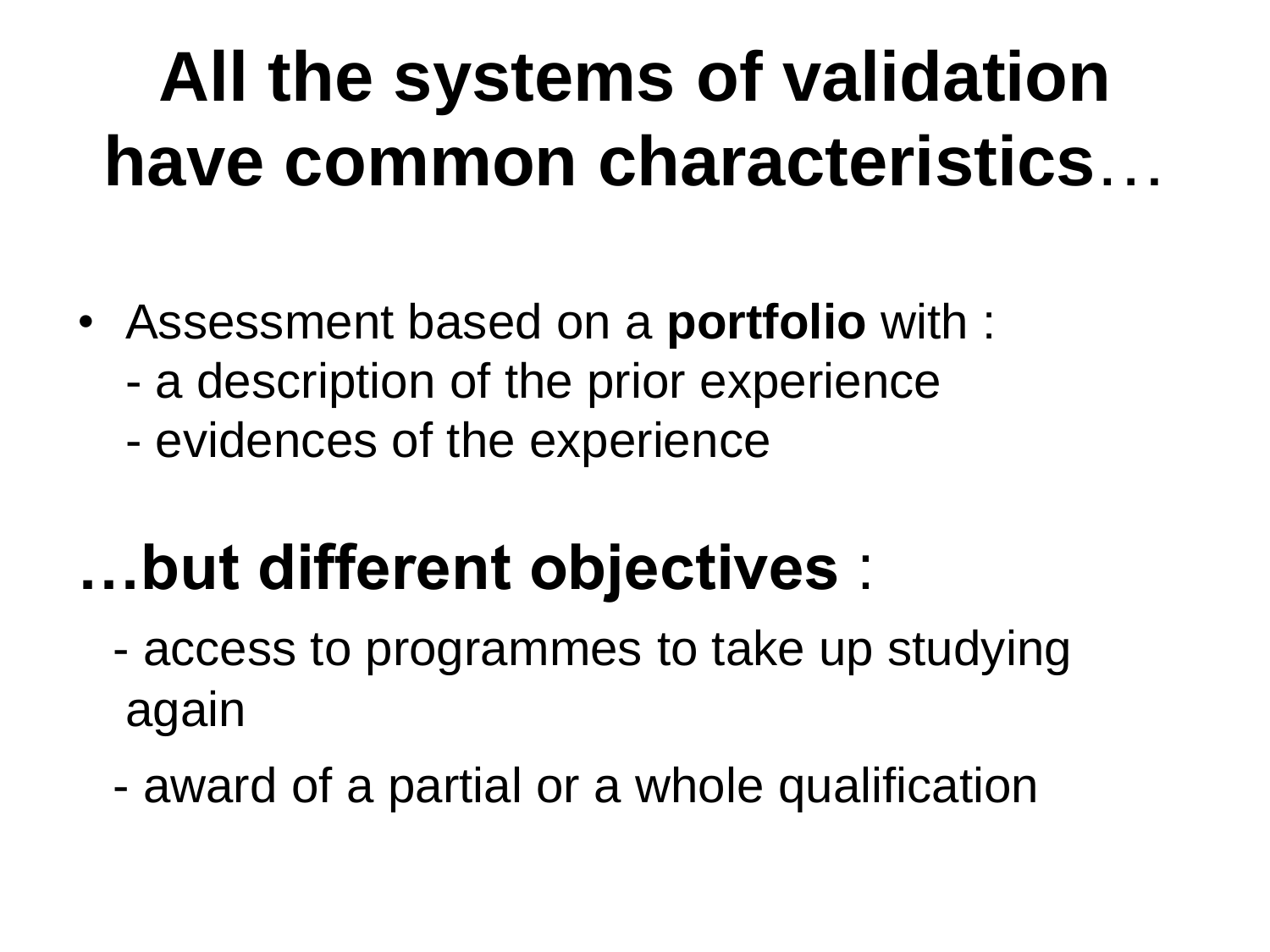## **All the systems of validation have common characteristics**…

- Assessment based on a **portfolio** with :
	- a description of the prior experience
	- evidences of the experience

### **…but different objectives** :

- access to programmes to take up studying again
- award of a partial or a whole qualification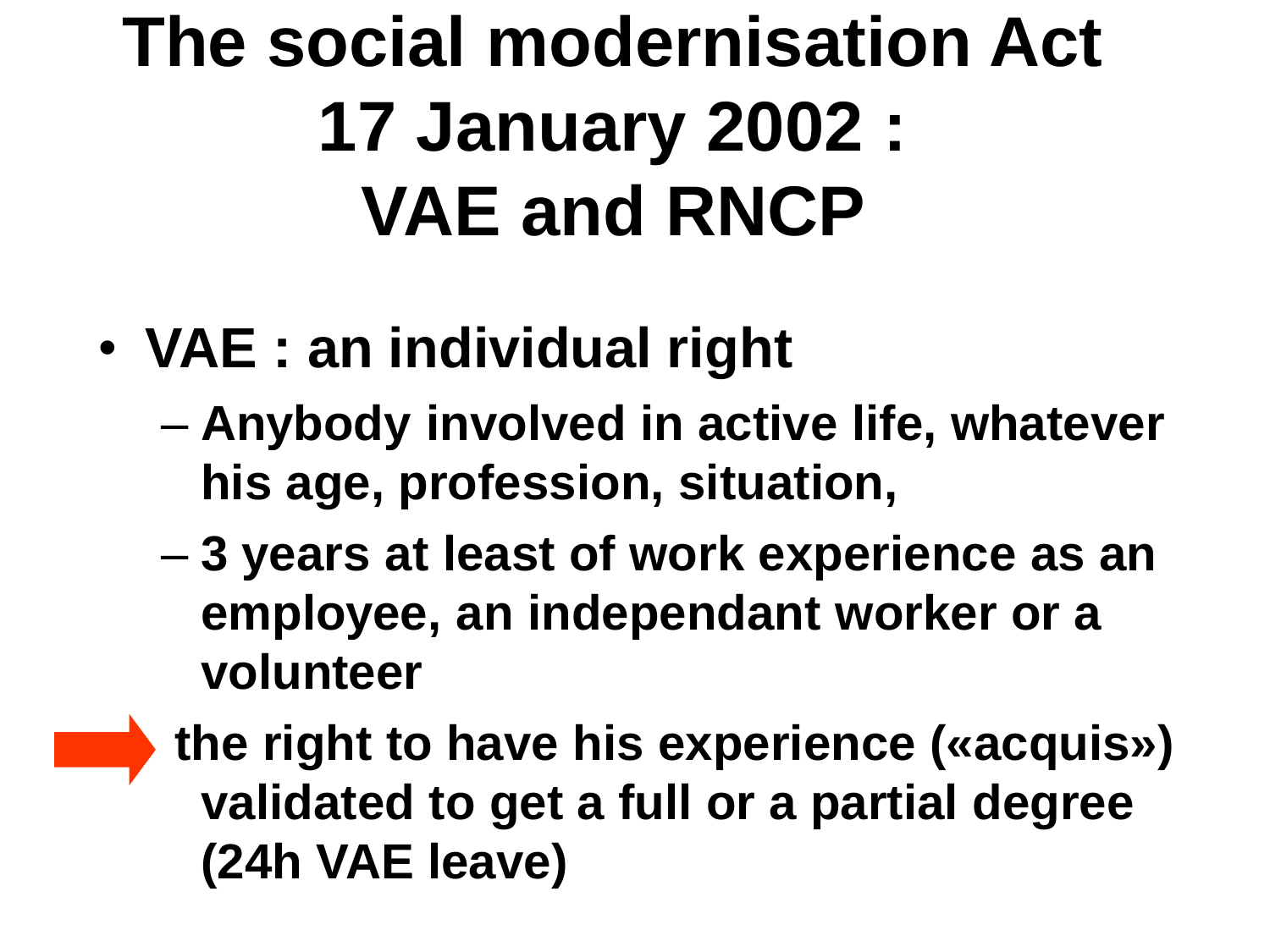## **The social modernisation Act 17 January 2002 : VAE and RNCP**

- **VAE : an individual right**
	- **Anybody involved in active life, whatever his age, profession, situation,**
	- **3 years at least of work experience as an employee, an independant worker or a volunteer**
	- **the right to have his experience («acquis») validated to get a full or a partial degree (24h VAE leave)**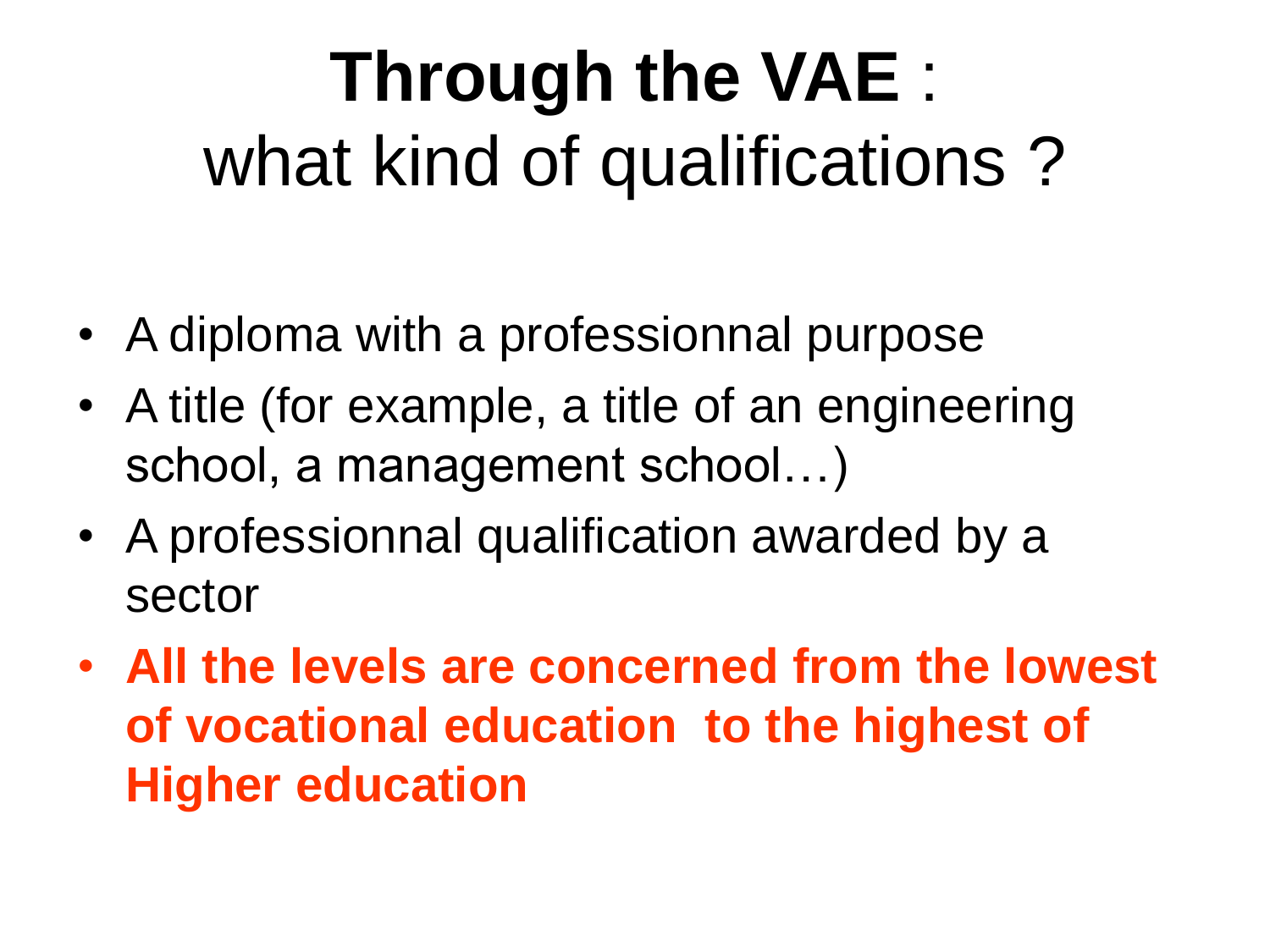## **Through the VAE** : what kind of qualifications ?

- A diploma with a professionnal purpose
- A title (for example, a title of an engineering school, a management school…)
- A professionnal qualification awarded by a sector
- **All the levels are concerned from the lowest of vocational education to the highest of Higher education**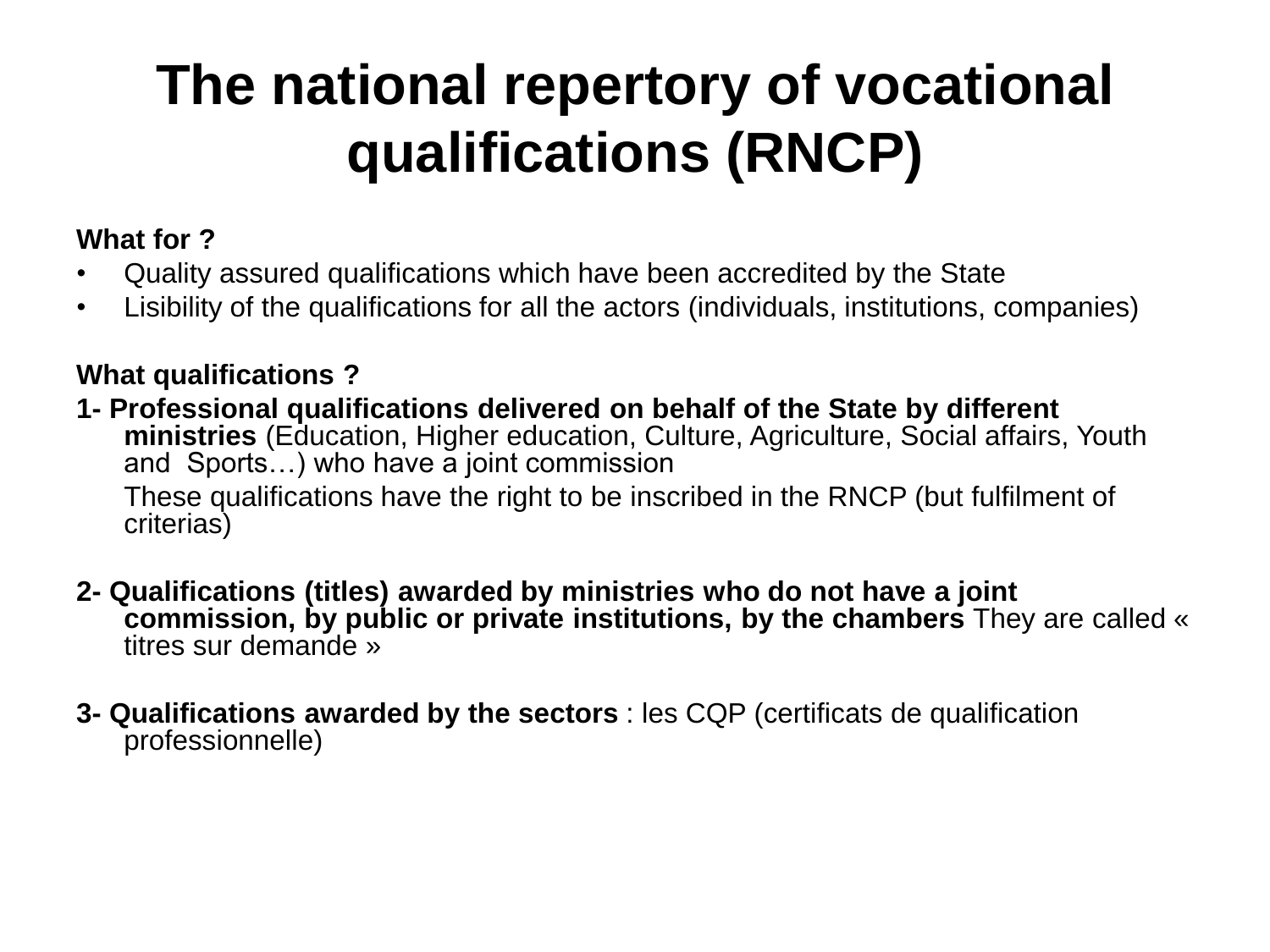#### **The national repertory of vocational qualifications (RNCP)**

#### **What for ?**

- Quality assured qualifications which have been accredited by the State
- Lisibility of the qualifications for all the actors (individuals, institutions, companies)

#### **What qualifications ?**

- **1- Professional qualifications delivered on behalf of the State by different ministries** (Education, Higher education, Culture, Agriculture, Social affairs, Youth and Sports…) who have a joint commission These qualifications have the right to be inscribed in the RNCP (but fulfilment of criterias)
- **2- Qualifications (titles) awarded by ministries who do not have a joint commission, by public or private institutions, by the chambers** They are called « titres sur demande »
- **3- Qualifications awarded by the sectors** : les CQP (certificats de qualification professionnelle)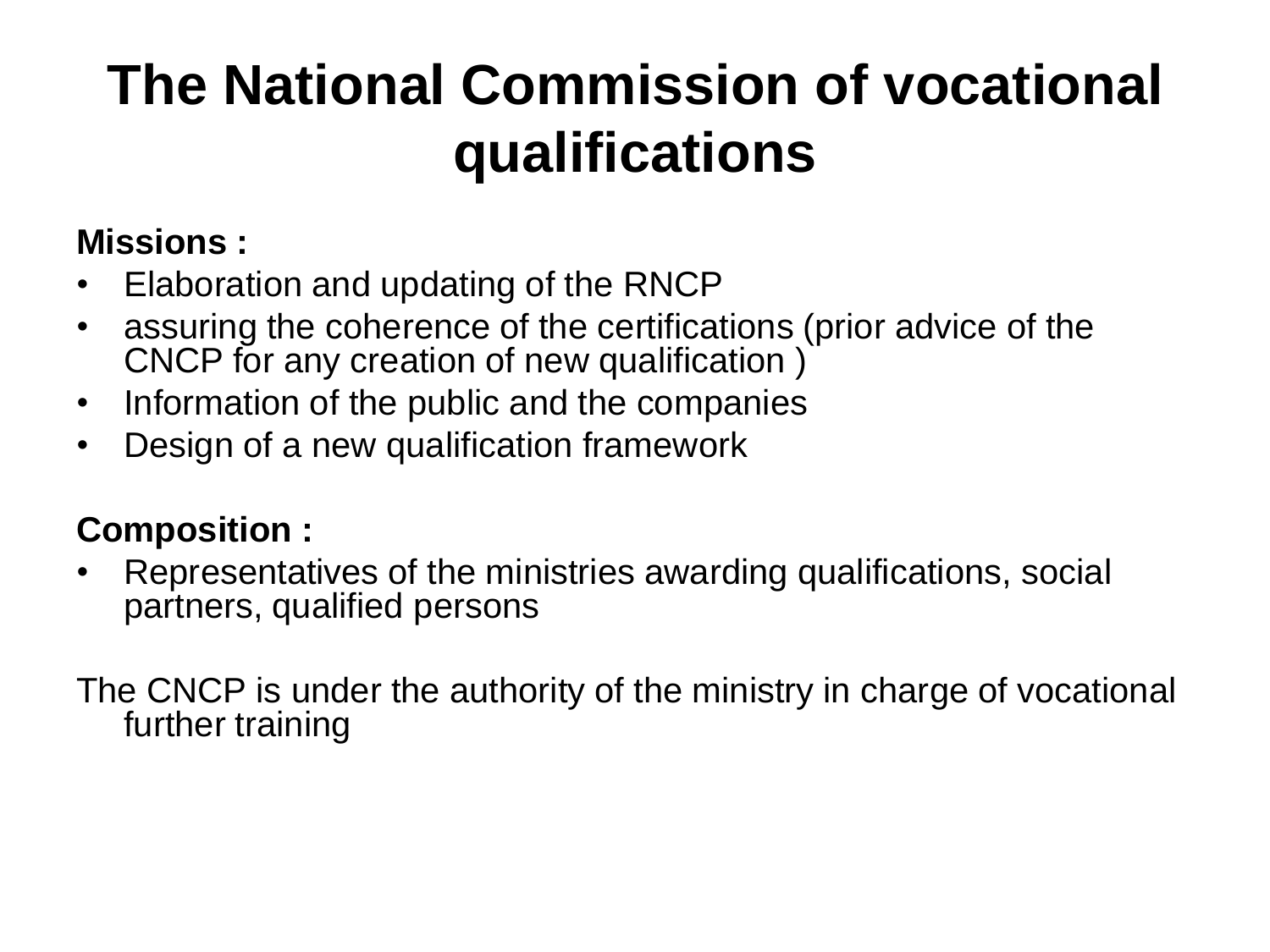#### **The National Commission of vocational qualifications**

#### **Missions :**

- Elaboration and updating of the RNCP
- assuring the coherence of the certifications (prior advice of the CNCP for any creation of new qualification )
- Information of the public and the companies
- Design of a new qualification framework

#### **Composition :**

• Representatives of the ministries awarding qualifications, social partners, qualified persons

The CNCP is under the authority of the ministry in charge of vocational further training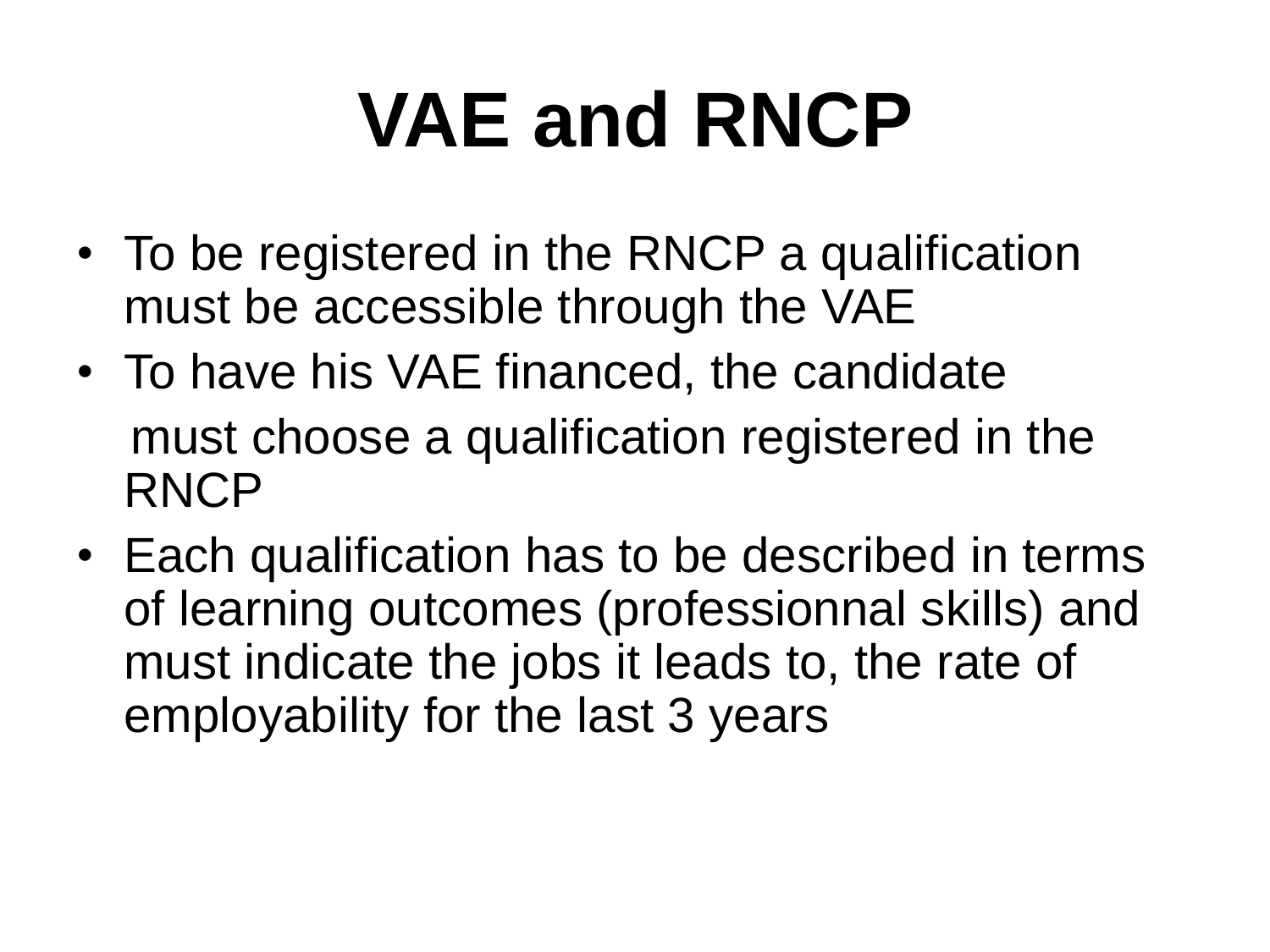## **VAE and RNCP**

- To be registered in the RNCP a qualification must be accessible through the VAE
- To have his VAE financed, the candidate must choose a qualification registered in the RNCP
- Each qualification has to be described in terms of learning outcomes (professionnal skills) and must indicate the jobs it leads to, the rate of employability for the last 3 years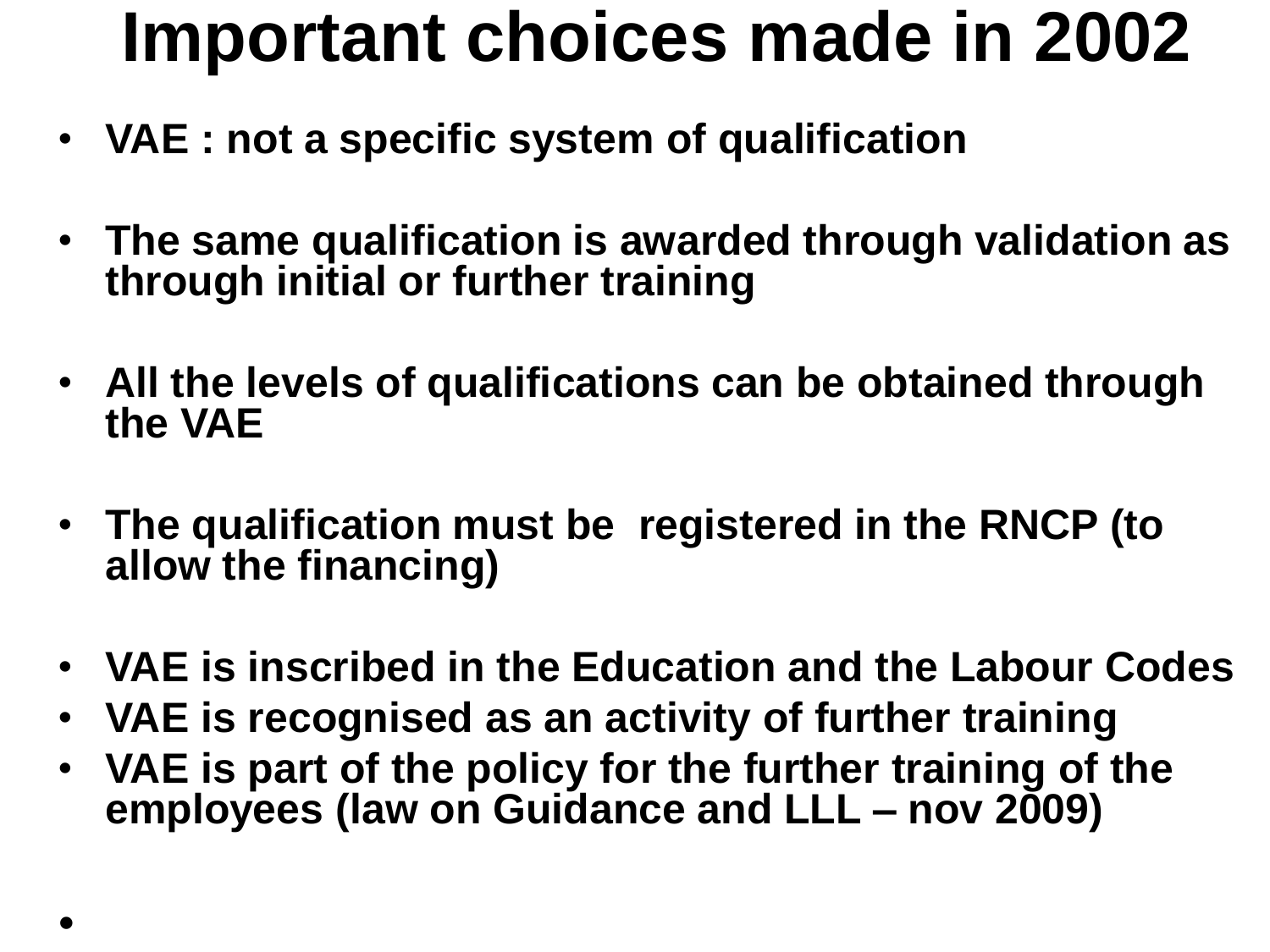### **Important choices made in 2002**

- **VAE : not a specific system of qualification**
- **The same qualification is awarded through validation as through initial or further training**
- **All the levels of qualifications can be obtained through the VAE**
- **The qualification must be registered in the RNCP (to allow the financing)**
- **VAE is inscribed in the Education and the Labour Codes**
- **VAE is recognised as an activity of further training**
- **VAE is part of the policy for the further training of the employees (law on Guidance and LLL – nov 2009)**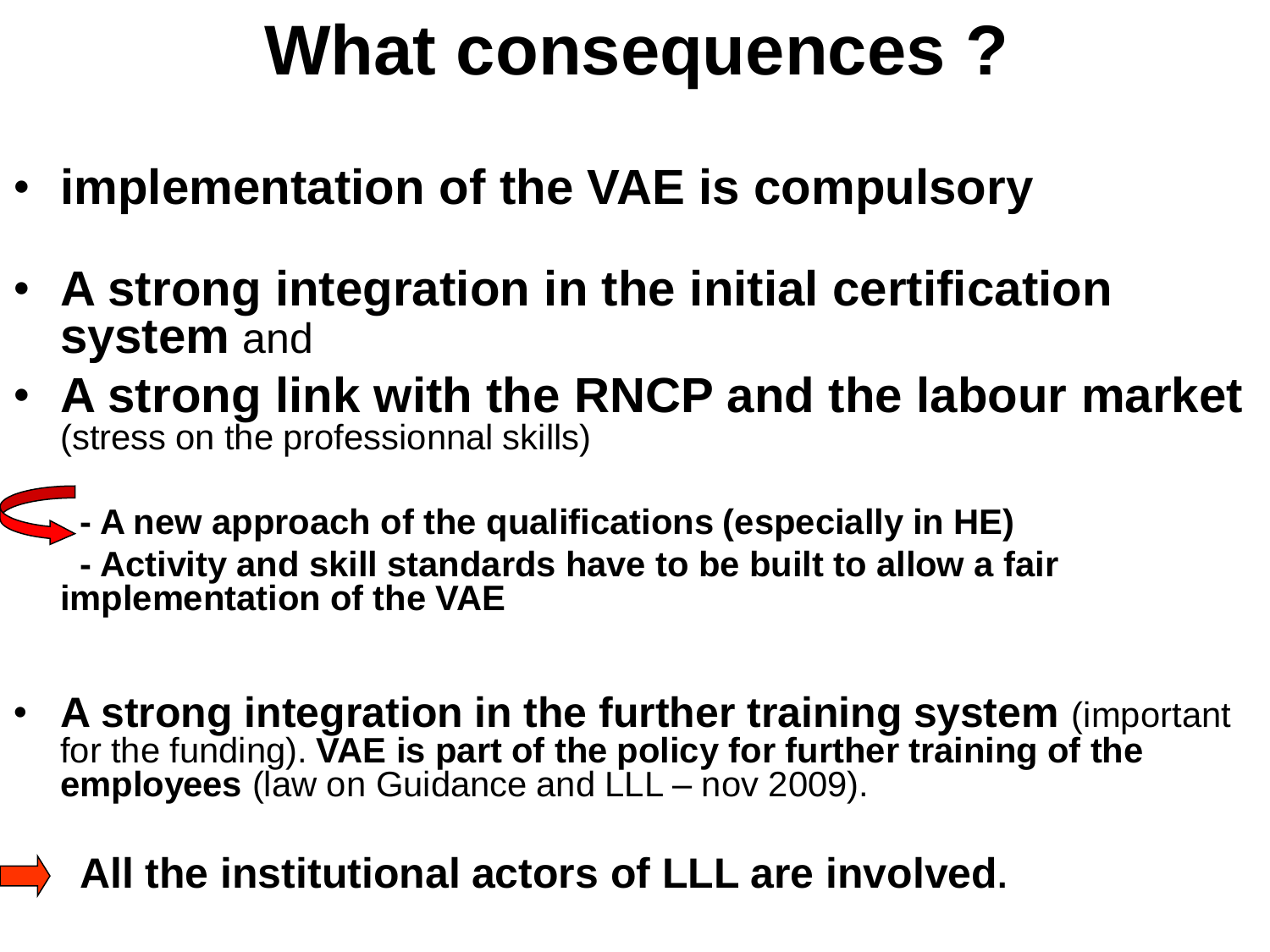## **What consequences ?**

- **implementation of the VAE is compulsory**
- **A strong integration in the initial certification system** and
- **A strong link with the RNCP and the labour market** (stress on the professionnal skills)

**- A new approach of the qualifications (especially in HE) - Activity and skill standards have to be built to allow a fair implementation of the VAE**

• **A strong integration in the further training system** (important for the funding). **VAE is part of the policy for further training of the employees** (law on Guidance and LLL – nov 2009).

• **All the institutional actors of LLL are involved.**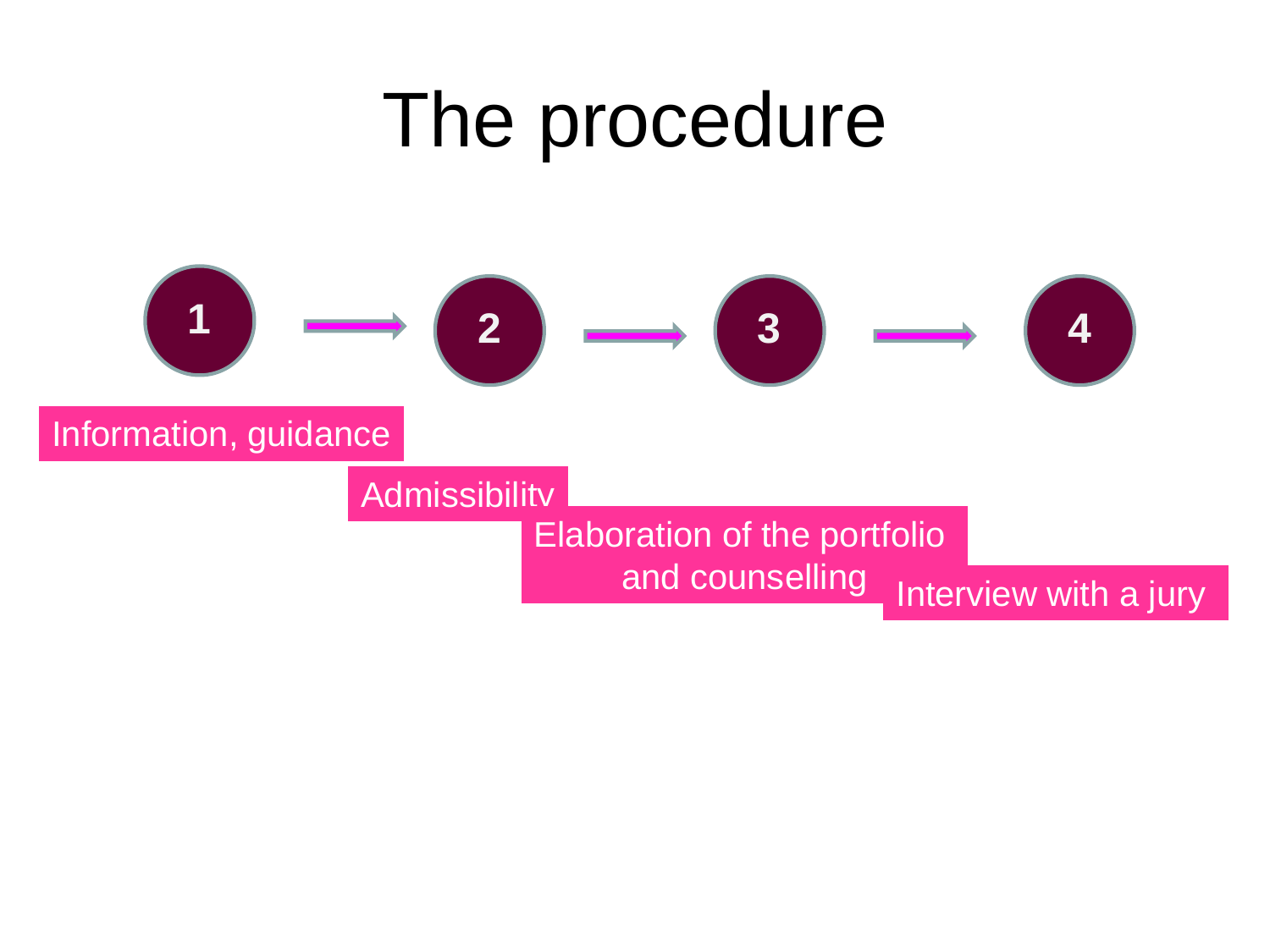### The procedure

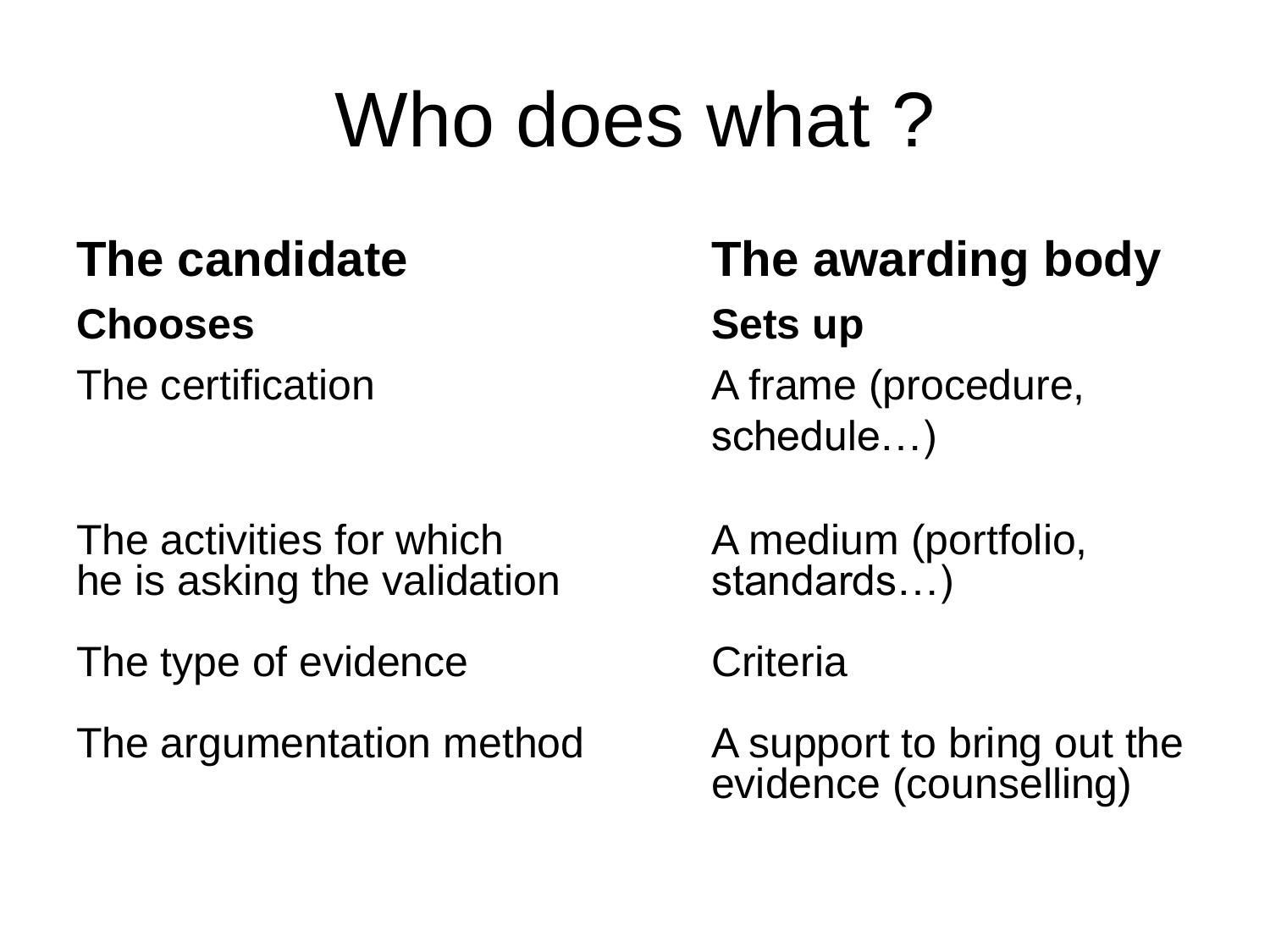## Who does what ?

#### **Chooses Sets up**

The activities for which  $\begin{array}{ccc} \text{A medium (portfolio,} \\ \text{he is asking the validation} \end{array}$ he is asking the validation

The type of evidence Criteria

The argumentation method The Support to bring out the

# **The candidate The awarding body**

The certification The certification and A frame (procedure, schedule…)

evidence (counselling)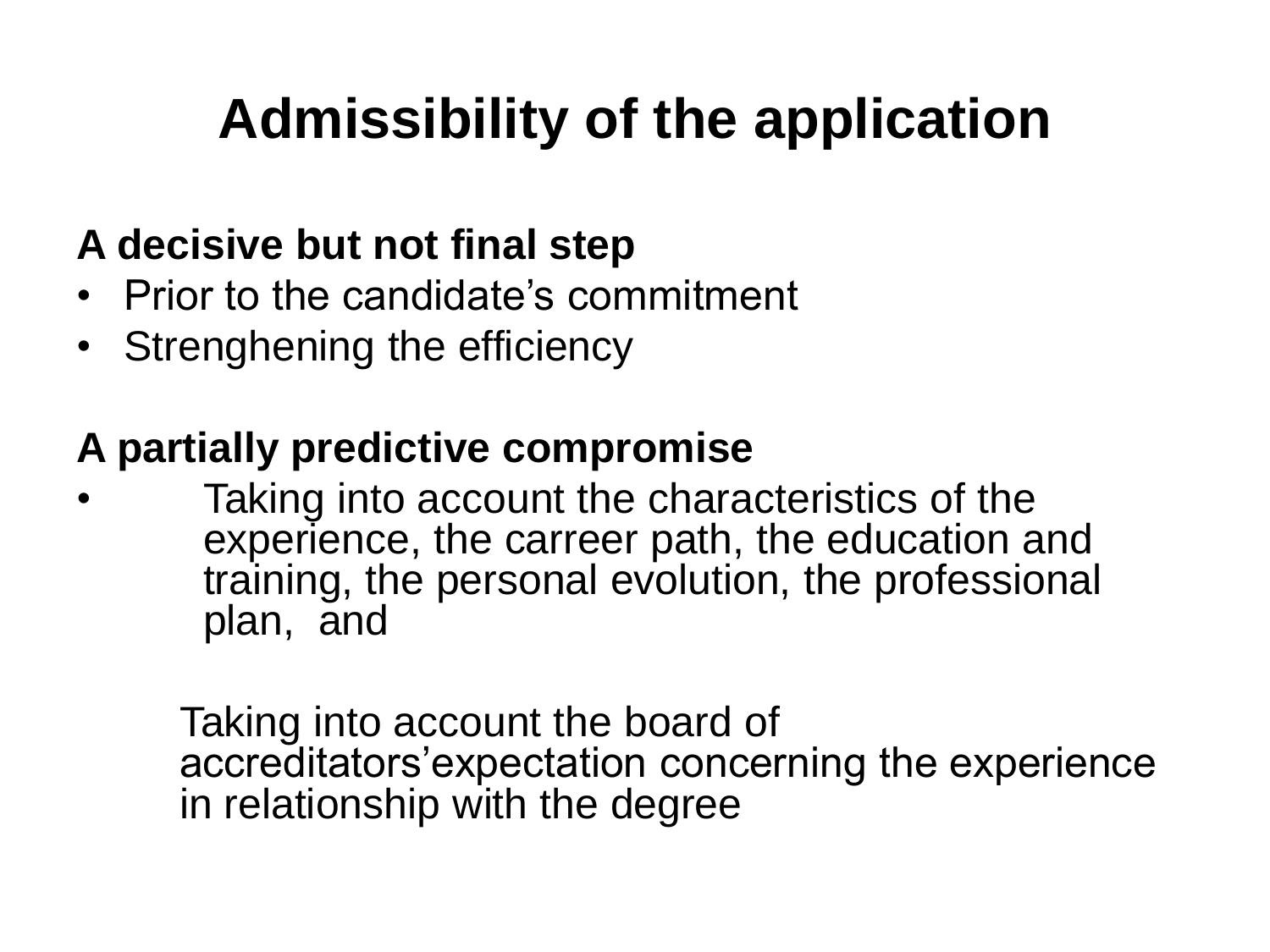#### **Admissibility of the application**

#### **A decisive but not final step**

- Prior to the candidate's commitment
- Strenghening the efficiency

#### **A partially predictive compromise**

Taking into account the characteristics of the experience, the carreer path, the education and training, the personal evolution, the professional plan, and

Taking into account the board of accreditators'expectation concerning the experience in relationship with the degree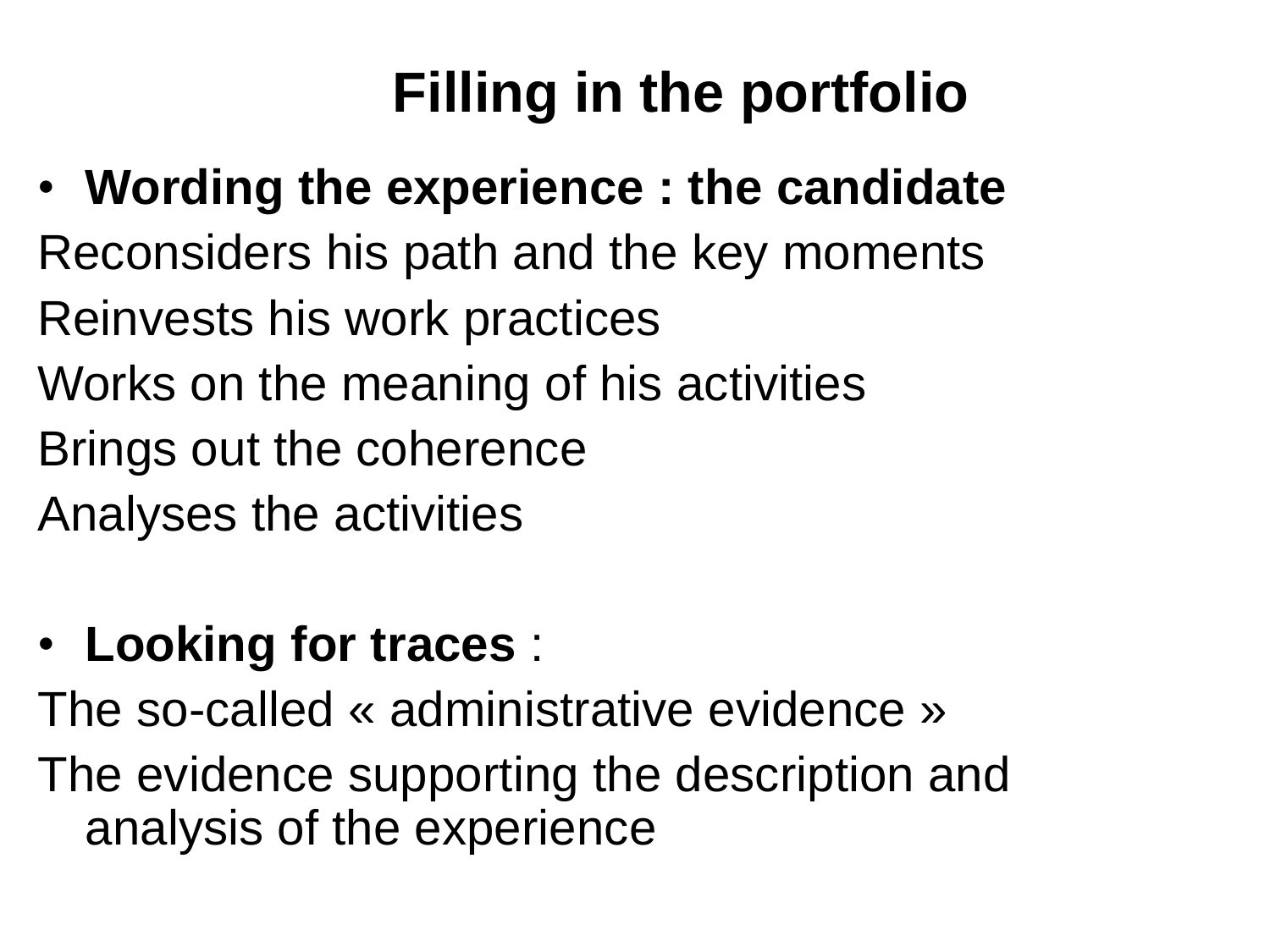#### **Filling in the portfolio**

• **Wording the experience : the candidate** Reconsiders his path and the key moments Reinvests his work practices Works on the meaning of his activities Brings out the coherence Analyses the activities

#### • **Looking for traces** :

The so-called « administrative evidence »

The evidence supporting the description and analysis of the experience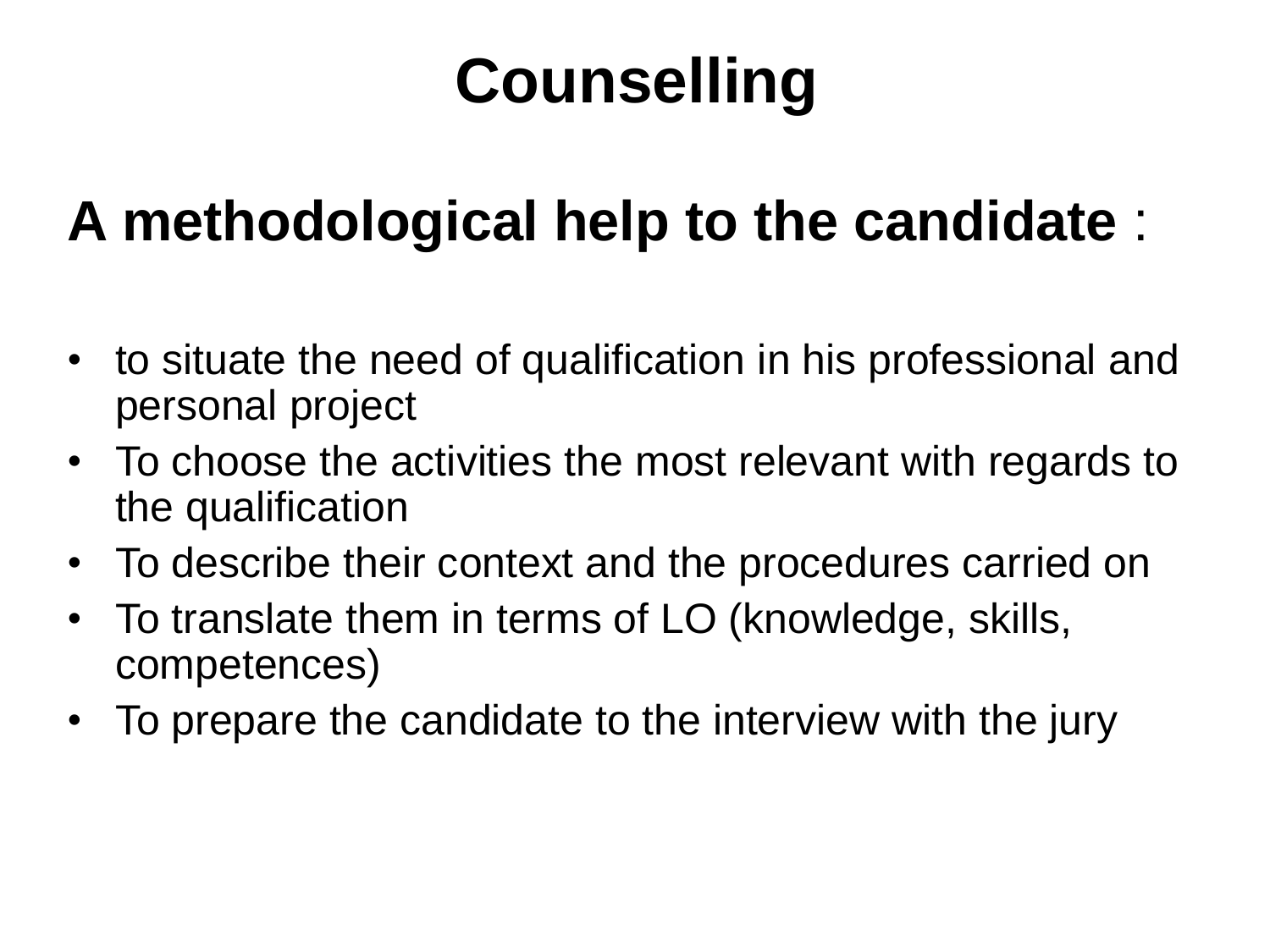### **Counselling**

#### **A methodological help to the candidate** :

- to situate the need of qualification in his professional and personal project
- To choose the activities the most relevant with regards to the qualification
- To describe their context and the procedures carried on
- To translate them in terms of LO (knowledge, skills, competences)
- To prepare the candidate to the interview with the jury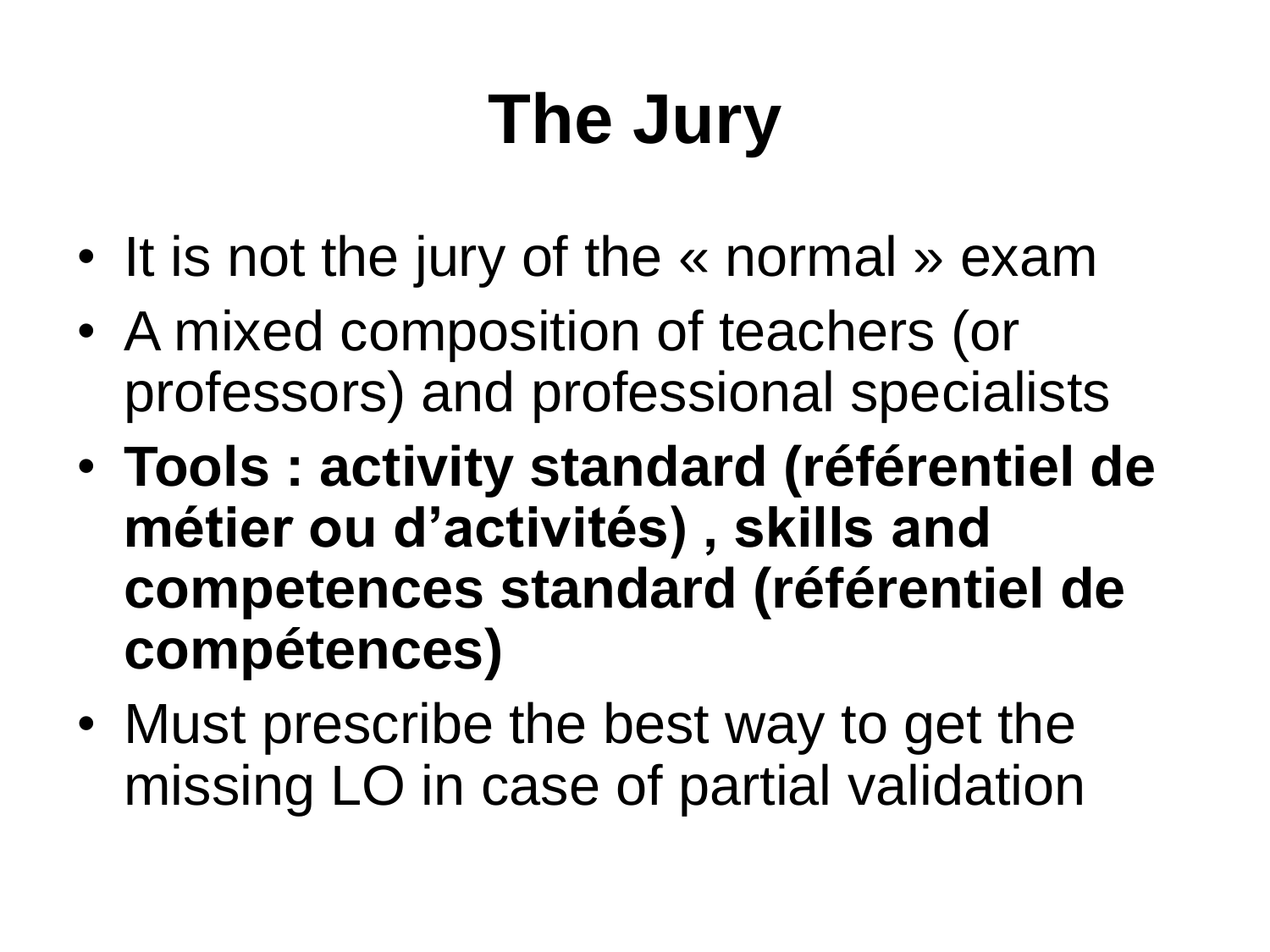## **The Jury**

- It is not the jury of the « normal » exam
- A mixed composition of teachers (or professors) and professional specialists
- **Tools : activity standard (référentiel de métier ou d'activités) , skills and competences standard (référentiel de compétences)**
- Must prescribe the best way to get the missing LO in case of partial validation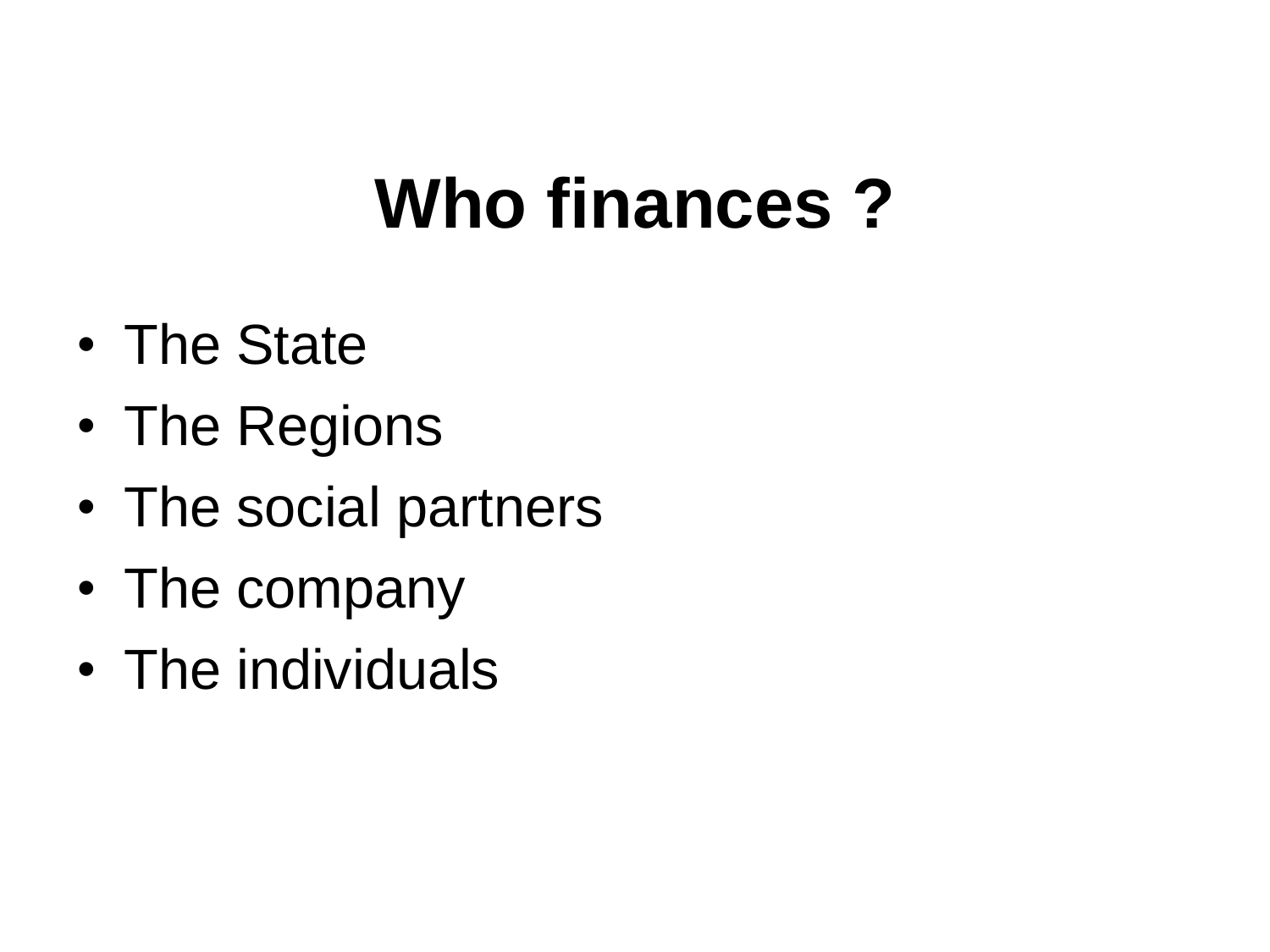## **Who finances ?**

- The State
- The Regions
- The social partners
- The company
- The individuals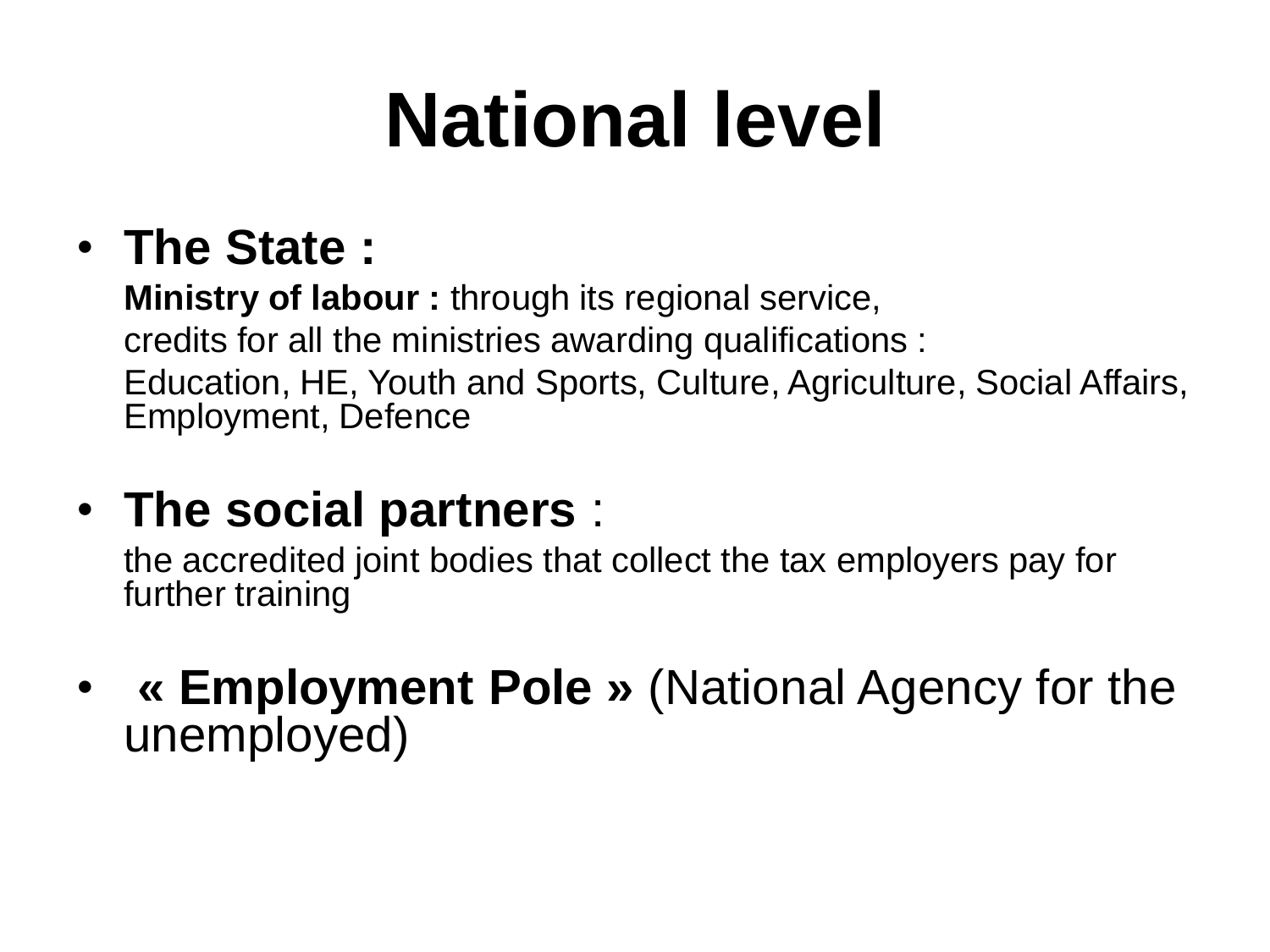## **National level**

#### • **The State :**

**Ministry of labour :** through its regional service, credits for all the ministries awarding qualifications : Education, HE, Youth and Sports, Culture, Agriculture, Social Affairs, Employment, Defence

• **The social partners** :

the accredited joint bodies that collect the tax employers pay for further training

• **« Employment Pole »** (National Agency for the unemployed)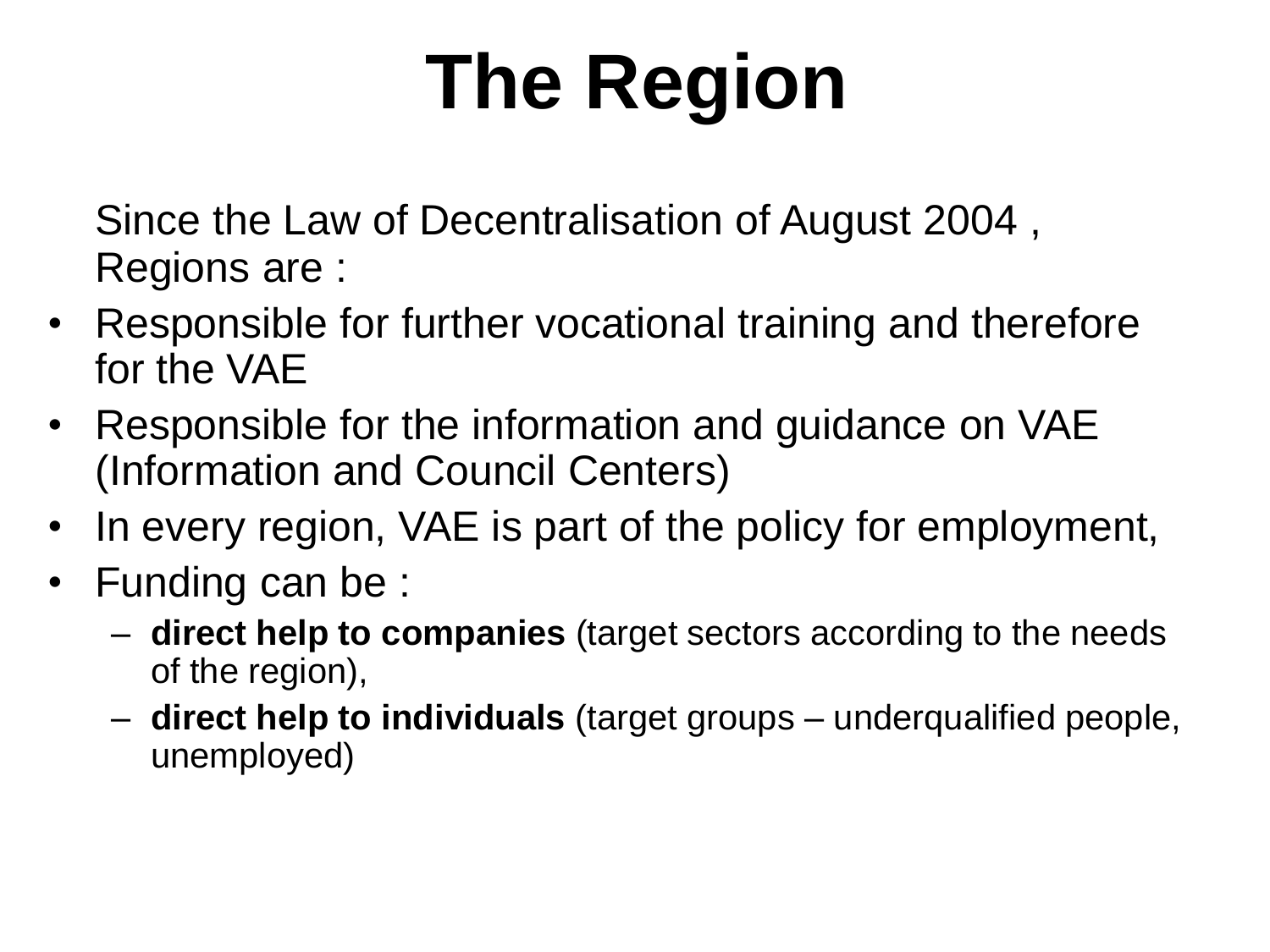## **The Region**

Since the Law of Decentralisation of August 2004 , Regions are :

- Responsible for further vocational training and therefore for the VAE
- Responsible for the information and guidance on VAE (Information and Council Centers)
- In every region, VAE is part of the policy for employment,
- Funding can be :
	- **direct help to companies** (target sectors according to the needs of the region),
	- **direct help to individuals** (target groups underqualified people, unemployed)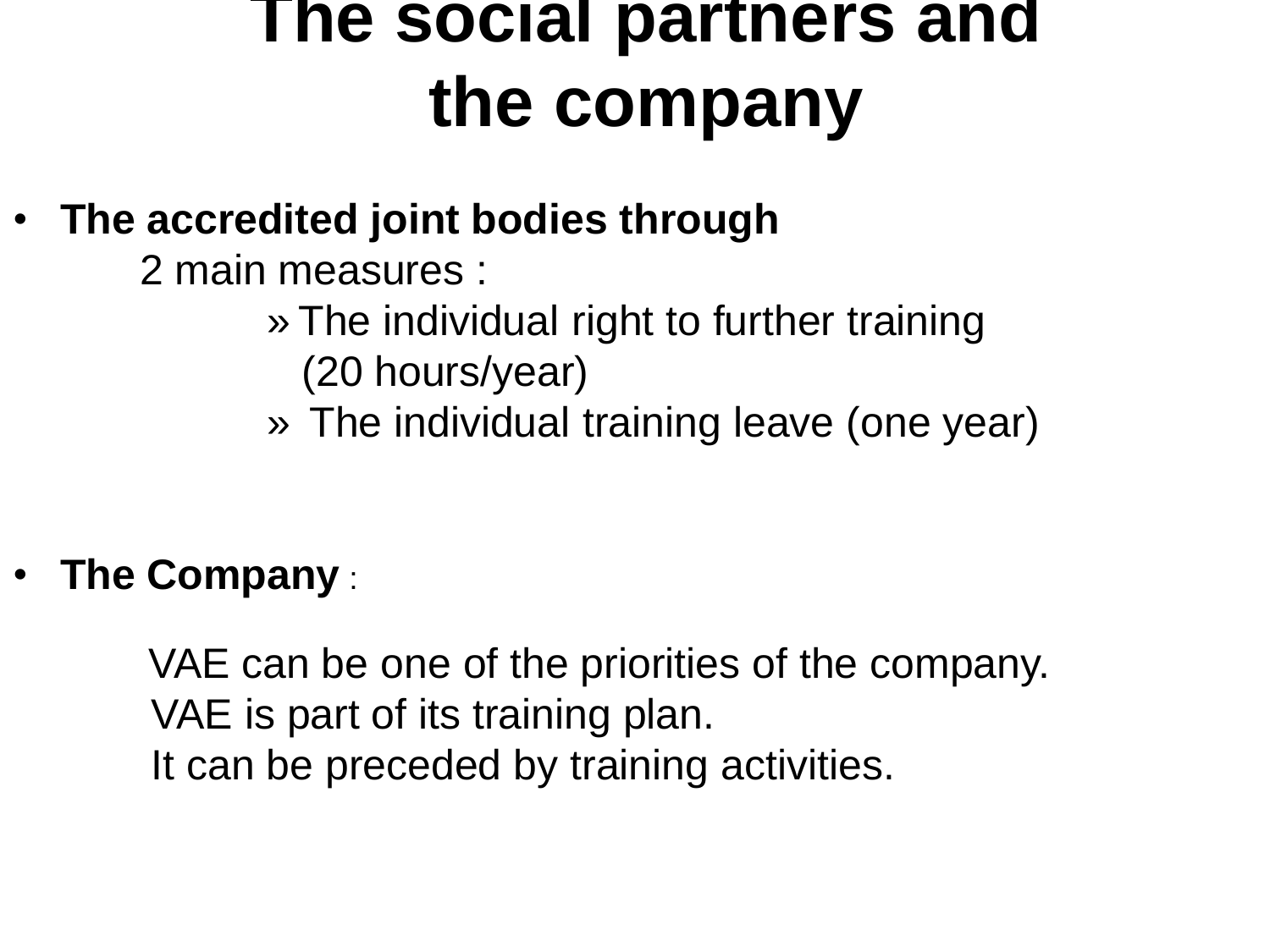### **The social partners and the company**

- **The accredited joint bodies through**
	- 2 main measures :
		- » The individual right to further training (20 hours/year)
		- » The individual training leave (one year)

• **The Company** :

VAE can be one of the priorities of the company. VAE is part of its training plan. It can be preceded by training activities.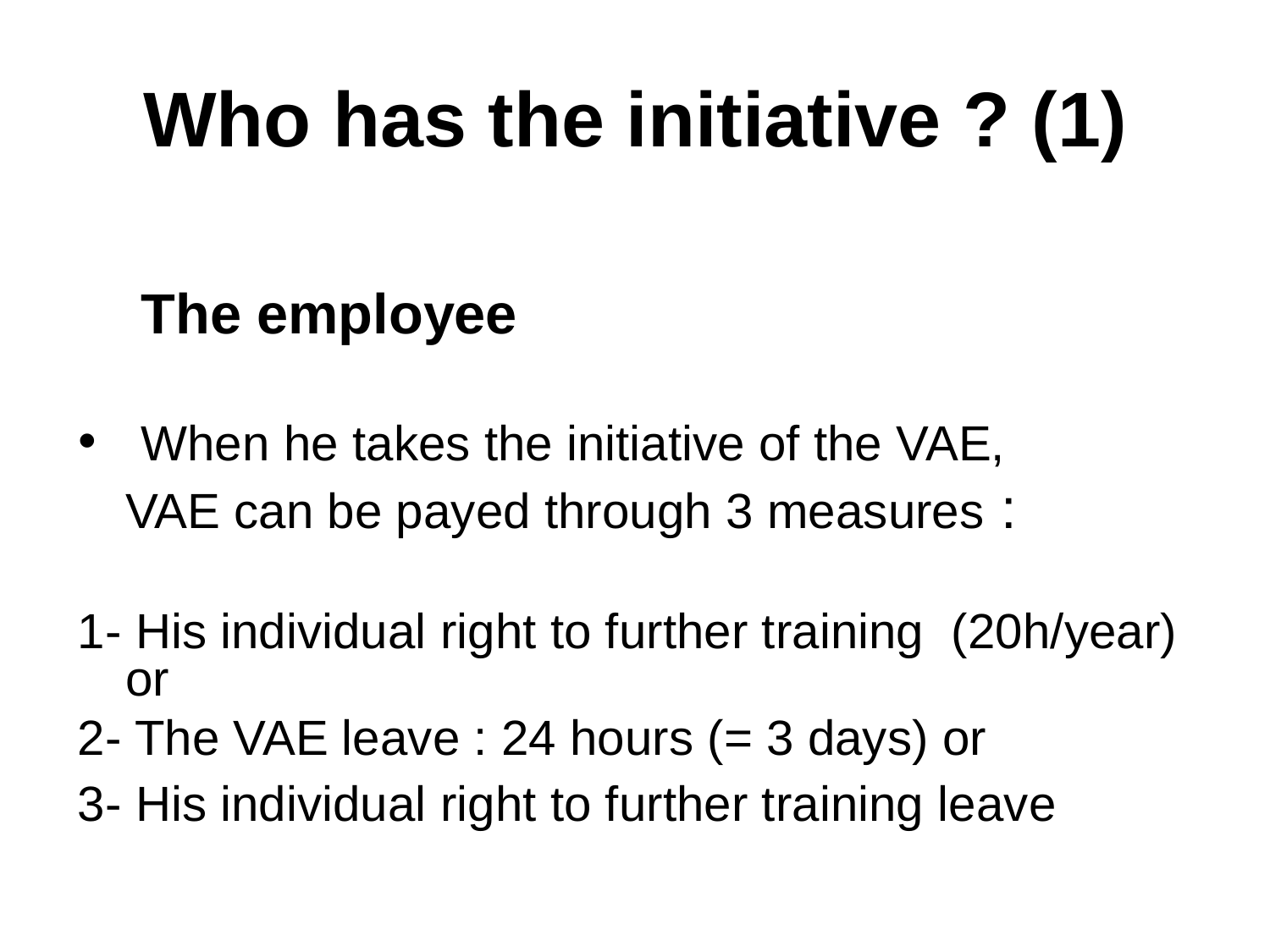## **Who has the initiative ? (1)**

#### **The employee**

- When he takes the initiative of the VAE, VAE can be payed through 3 measures :
- 1- His individual right to further training (20h/year) or
- 2- The VAE leave : 24 hours (= 3 days) or
- 3- His individual right to further training leave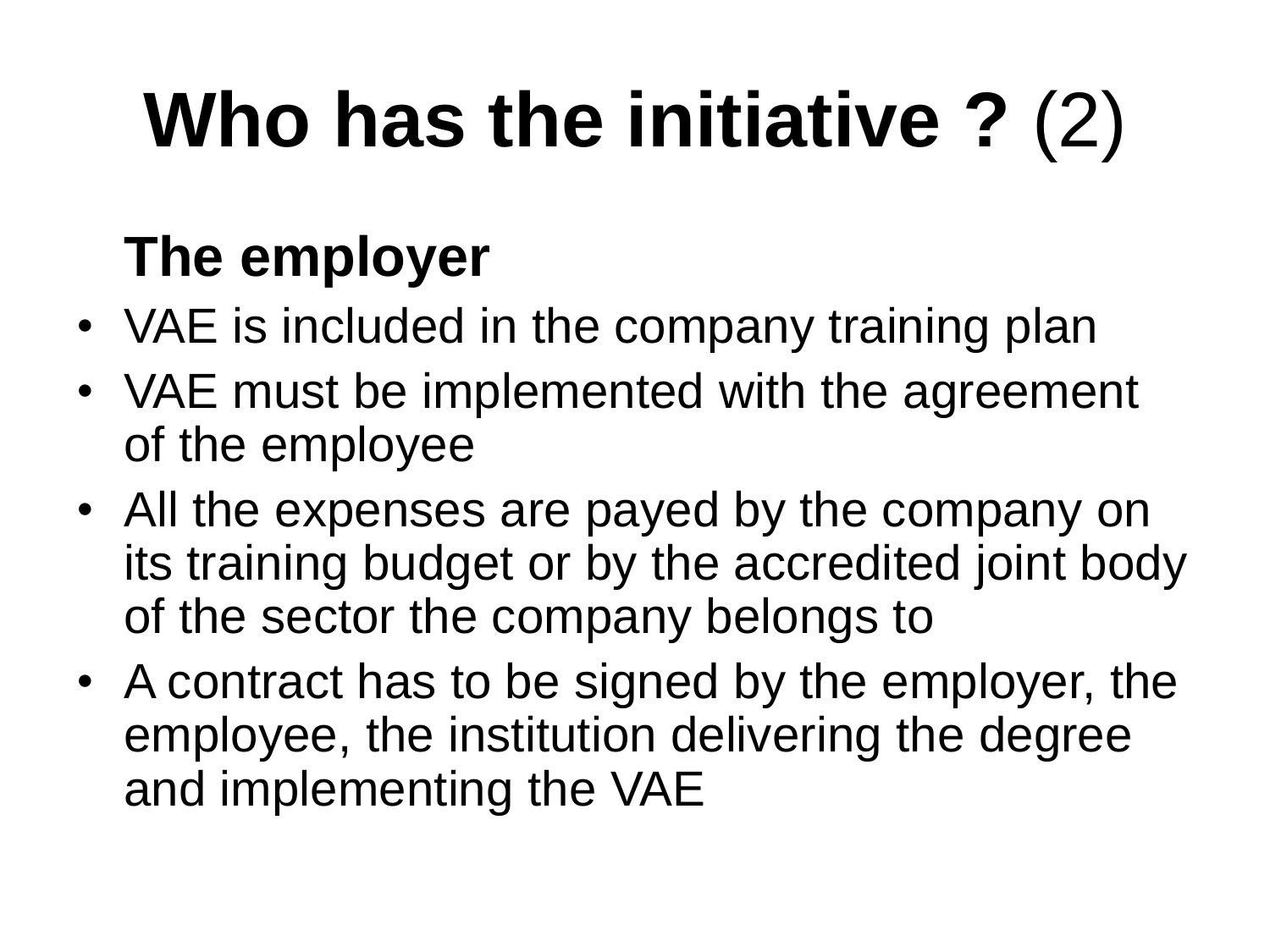## **Who has the initiative ?** (2)

### **The employer**

- VAE is included in the company training plan
- VAE must be implemented with the agreement of the employee
- All the expenses are payed by the company on its training budget or by the accredited joint body of the sector the company belongs to
- A contract has to be signed by the employer, the employee, the institution delivering the degree and implementing the VAE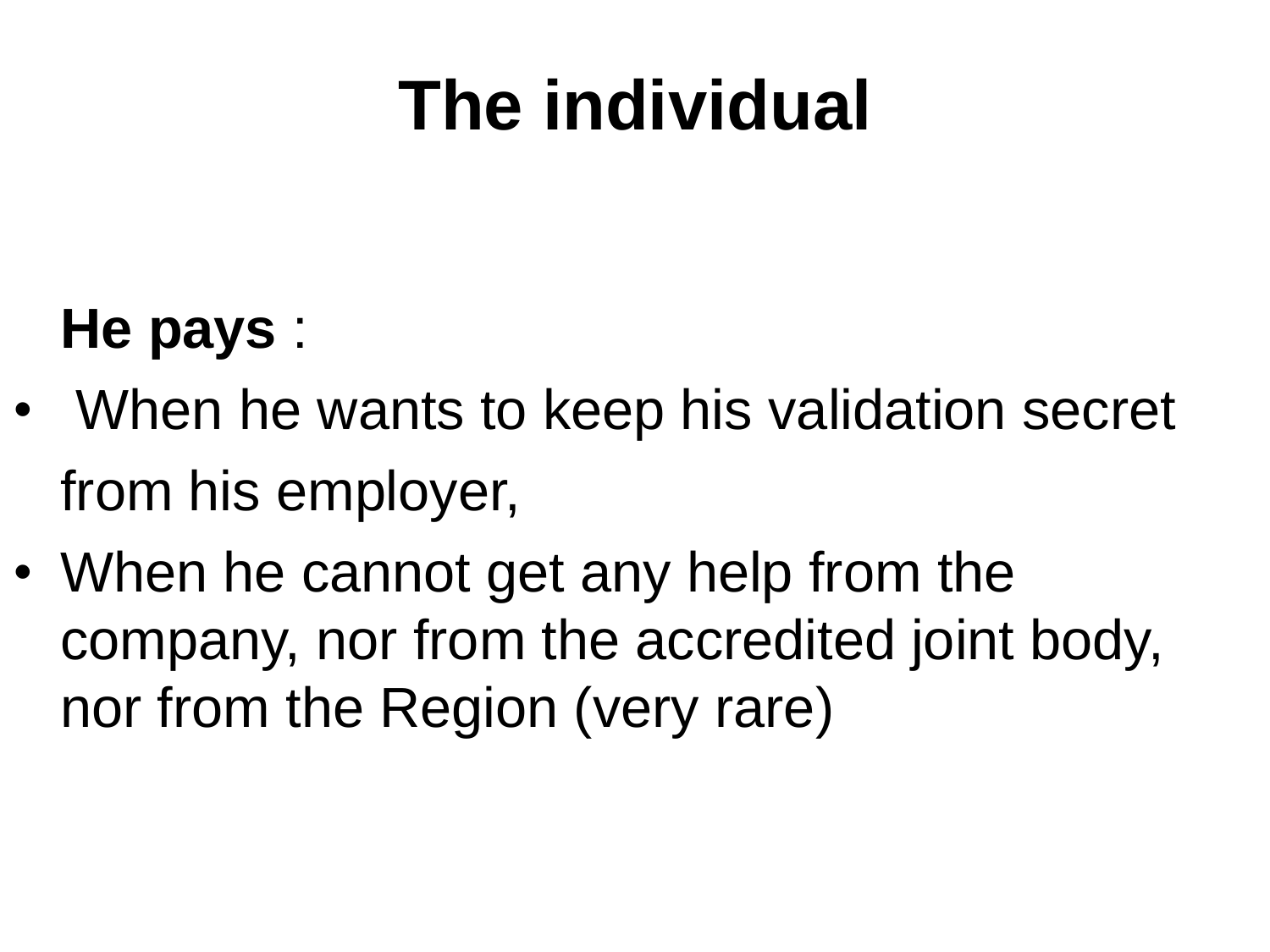## **The individual**

#### **He pays** :

- When he wants to keep his validation secret from his employer,
- When he cannot get any help from the company, nor from the accredited joint body, nor from the Region (very rare)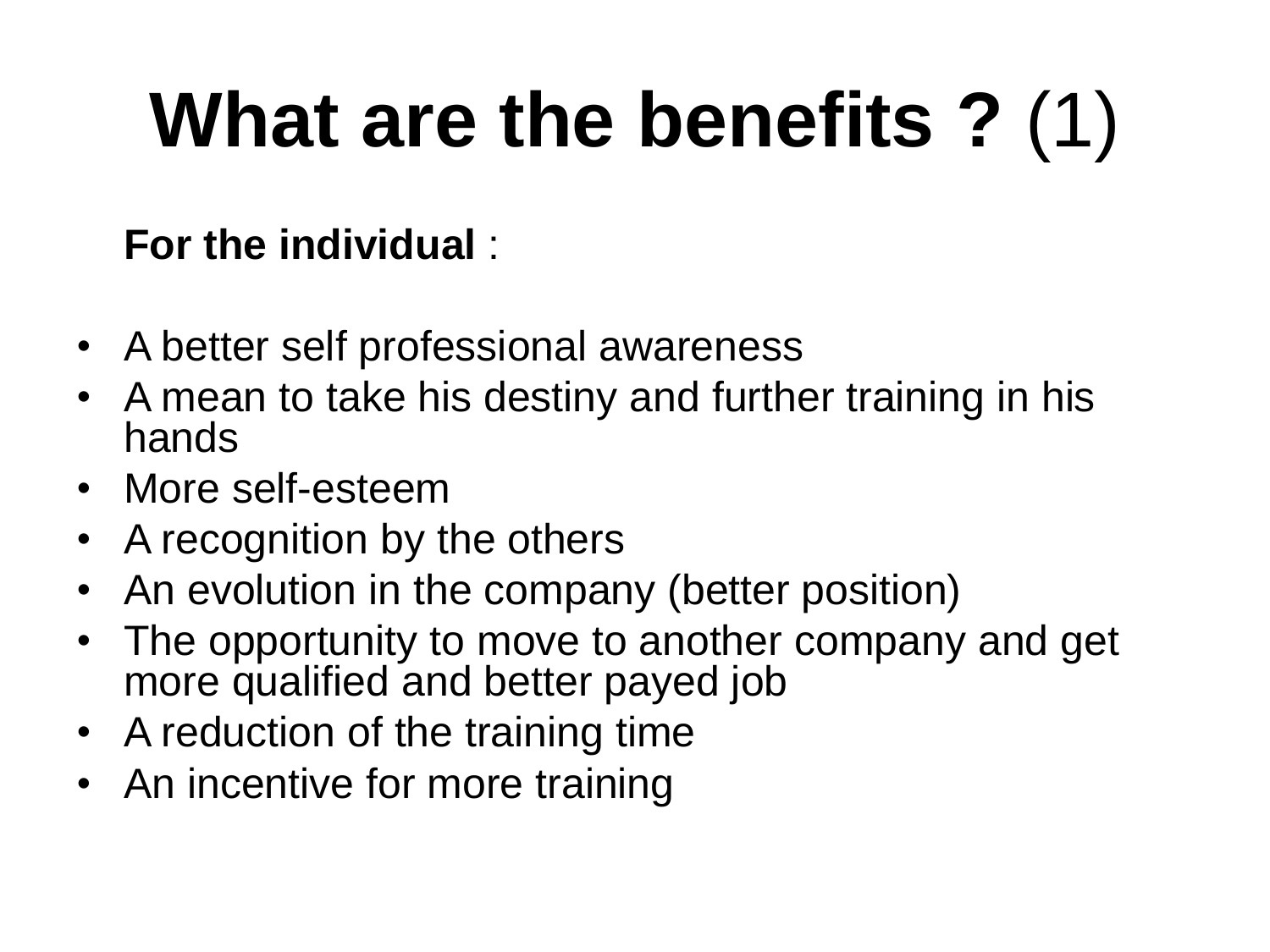## **What are the benefits ?** (1)

#### **For the individual** :

- A better self professional awareness
- A mean to take his destiny and further training in his hands
- More self-esteem
- A recognition by the others
- An evolution in the company (better position)
- The opportunity to move to another company and get more qualified and better payed job
- A reduction of the training time
- An incentive for more training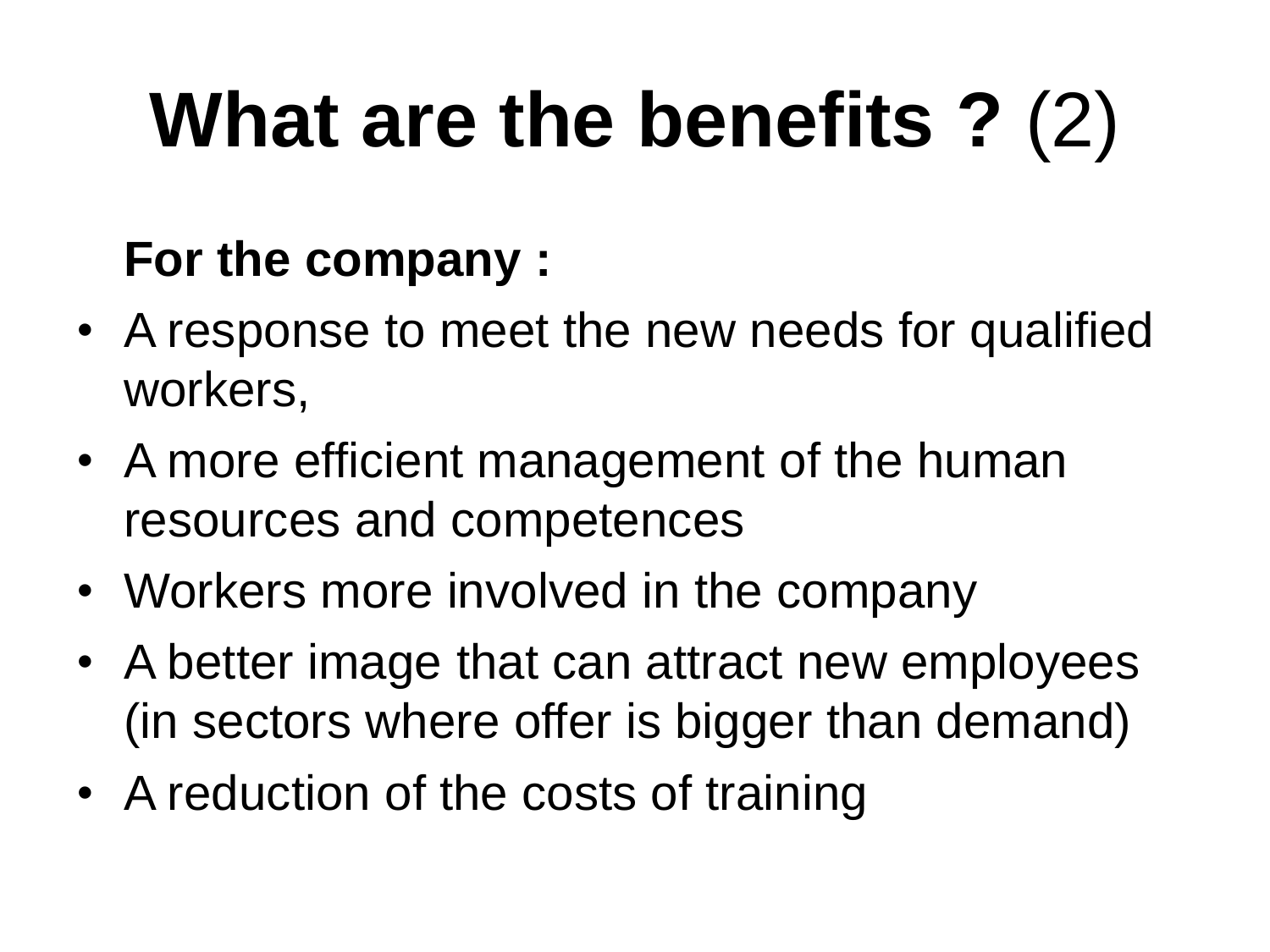## **What are the benefits ?** (2)

#### **For the company :**

- A response to meet the new needs for qualified workers,
- A more efficient management of the human resources and competences
- Workers more involved in the company
- A better image that can attract new employees (in sectors where offer is bigger than demand)
- A reduction of the costs of training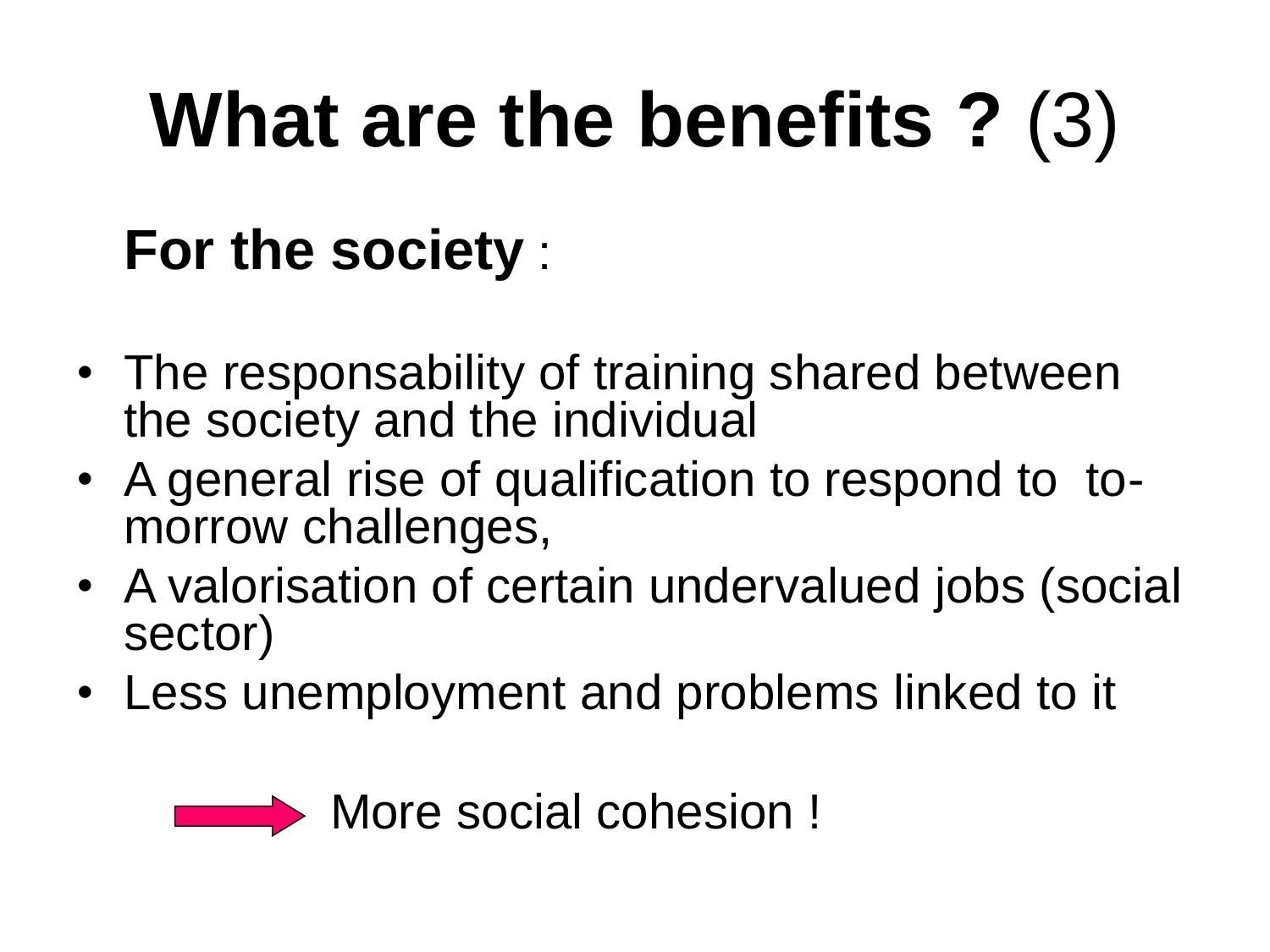## **What are the benefits ?** (3)

### **For the society** :

- The responsability of training shared between the society and the individual
- A general rise of qualification to respond to tomorrow challenges,
- A valorisation of certain undervalued jobs (social sector)
- Less unemployment and problems linked to it